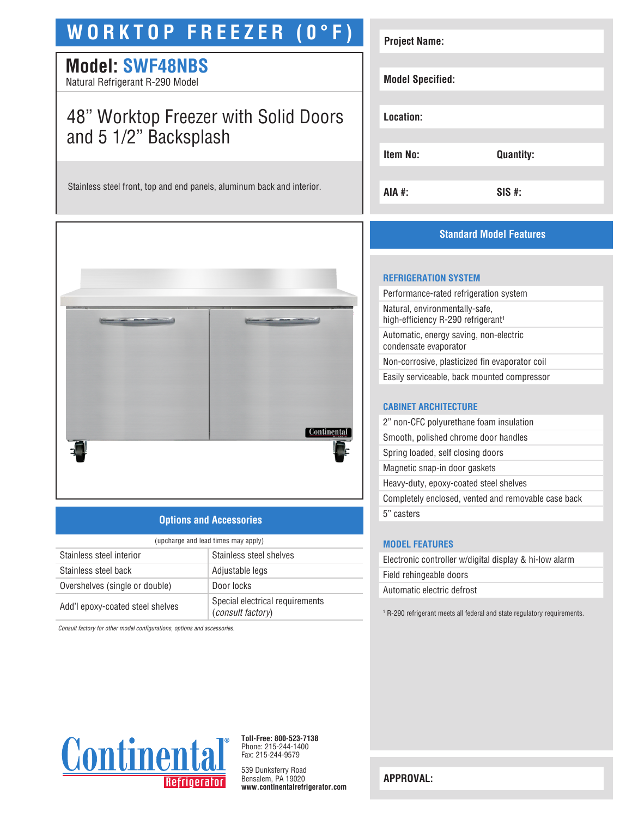# **WORKTOP FREEZER (0°F)**

# **Model: SWF48NBS**

Natural Refrigerant R-290 Model

# 48" Worktop Freezer with Solid Doors and 5 1/2" Backsplash

Stainless steel front, top and end panels, aluminum back and interior.



# **Options and Accessories**

| (upcharge and lead times may apply) |                                                             |  |
|-------------------------------------|-------------------------------------------------------------|--|
| Stainless steel interior            | Stainless steel shelves                                     |  |
| Stainless steel back                | Adjustable legs                                             |  |
| Overshelves (single or double)      | Door locks                                                  |  |
| Add'l epoxy-coated steel shelves    | Special electrical requirements<br><i>(consult factory)</i> |  |

*Consult factory for other model configurations, options and accessories.*

| <b>Project Name:</b>    |                  |
|-------------------------|------------------|
| <b>Model Specified:</b> |                  |
| Location:               |                  |
| <b>Item No:</b>         | <b>Quantity:</b> |
| AIA #:                  | $SIS$ #:         |

# **Standard Model Features**

#### **REFRIGERATION SYSTEM**

Performance-rated refrigeration system Natural, environmentally-safe, high-efficiency R-290 refrigerant<sup>1</sup> Automatic, energy saving, non-electric condensate evaporator Non-corrosive, plasticized fin evaporator coil Easily serviceable, back mounted compressor

#### **CABINET ARCHITECTURE**

| 2" non-CFC polyurethane foam insulation             |
|-----------------------------------------------------|
| Smooth, polished chrome door handles                |
| Spring loaded, self closing doors                   |
| Magnetic snap-in door gaskets                       |
| Heavy-duty, epoxy-coated steel shelves              |
| Completely enclosed, vented and removable case back |
| 5" casters                                          |
|                                                     |

### **MODEL FEATURES**

| Electronic controller w/digital display & hi-low alarm |
|--------------------------------------------------------|
| Field rehingeable doors                                |
| Automatic electric defrost                             |
|                                                        |

1 R-290 refrigerant meets all federal and state regulatory requirements.



**Toll-Free: 800-523-7138** Phone: 215-244-1400 Fax: 215-244-9579

539 Dunksferry Road Bensalem, PA 19020 **www.continentalrefrigerator.com** 

**APPROVAL:**